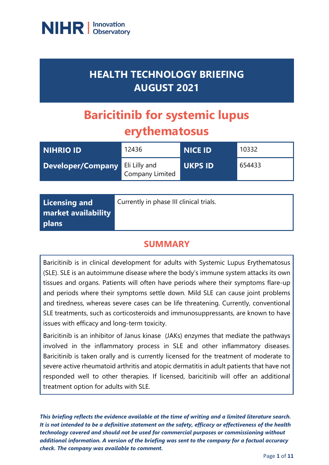

## **HEALTH TECHNOLOGY BRIEFING AUGUST 2021**

# **Baricitinib for systemic lupus erythematosus**

| NIHRIO ID         | 12436                            | <b>NICE ID</b> | 10332  |
|-------------------|----------------------------------|----------------|--------|
| Developer/Company | Eli Lilly and<br>Company Limited | <b>UKPS ID</b> | 654433 |

| Licensing and       | Currently in phase III clinical trials. |
|---------------------|-----------------------------------------|
| market availability |                                         |
| <b>plans</b>        |                                         |

## **SUMMARY**

Baricitinib is in clinical development for adults with Systemic Lupus Erythematosus (SLE). SLE is an autoimmune disease where the body's immune system attacks its own tissues and organs. Patients will often have periods where their symptoms flare-up and periods where their symptoms settle down. Mild SLE can cause joint problems and tiredness, whereas severe cases can be life threatening. Currently, conventional SLE treatments, such as corticosteroids and immunosuppressants, are known to have issues with efficacy and long-term toxicity.

Baricitinib is an inhibitor of Janus kinase (JAKs) enzymes that mediate the pathways involved in the inflammatory process in SLE and other inflammatory diseases. Baricitinib is taken orally and is currently licensed for the treatment of moderate to severe active rheumatoid arthritis and atopic dermatitis in adult patients that have not responded well to other therapies. If licensed, baricitinib will offer an additional treatment option for adults with SLE.

*This briefing reflects the evidence available at the time of writing and a limited literature search. It is not intended to be a definitive statement on the safety, efficacy or effectiveness of the health technology covered and should not be used for commercial purposes or commissioning without additional information. A version of the briefing was sent to the company for a factual accuracy check. The company was available to comment.*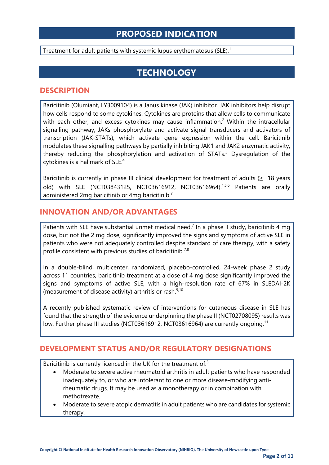## **PROPOSED INDICATION**

Treatment for adult patients with systemic lupus erythematosus (SLE).<sup>1</sup>

## **TECHNOLOGY**

#### **DESCRIPTION**

Baricitinib (Olumiant, LY3009104) is a Janus kinase (JAK) inhibitor. JAK inhibitors help disrupt how cells respond to some cytokines. Cytokines are proteins that allow cells to communicate with each other, and excess cytokines may cause inflammation.<sup>2</sup> Within the intracellular signalling pathway, JAKs phosphorylate and activate signal transducers and activators of transcription (JAK-STATs), which activate gene expression within the cell. Baricitinib modulates these signalling pathways by partially inhibiting JAK1 and JAK2 enzymatic activity, thereby reducing the phosphorylation and activation of STATs.<sup>3</sup> Dysregulation of the cytokines is a hallmark of SLE. 4

Baricitinib is currently in phase III clinical development for treatment of adults  $(≥ 18 \text{ years})$ old) with SLE (NCT03843125, NCT03616912, NCT03616964).<sup>1,5,6</sup> Patients are orally administered 2mg baricitinib or 4mg baricitinib.<sup>7</sup>

#### **INNOVATION AND/OR ADVANTAGES**

Patients with SLE have substantial unmet medical need.<sup>7</sup> In a phase II study, baricitinib 4 mg dose, but not the 2 mg dose, significantly improved the signs and symptoms of active SLE in patients who were not adequately controlled despite standard of care therapy, with a safety profile consistent with previous studies of baricitinib.<sup>7,8</sup>

In a double-blind, multicenter, randomized, placebo-controlled, 24-week phase 2 study across 11 countries, baricitinib treatment at a dose of 4 mg dose significantly improved the signs and symptoms of active SLE, with a high-resolution rate of 67% in SLEDAI-2K (measurement of disease activity) arthritis or rash.<sup>9,10</sup>

A recently published systematic review of interventions for cutaneous disease in SLE has found that the strength of the evidence underpinning the phase II (NCT02708095) results was low. Further phase III studies (NCT03616912, NCT03616964) are currently ongoing.<sup>11</sup>

#### **DEVELOPMENT STATUS AND/OR REGULATORY DESIGNATIONS**

Baricitinib is currently licenced in the UK for the treatment of:<sup>3</sup>

- Moderate to severe active rheumatoid arthritis in adult patients who have responded inadequately to, or who are intolerant to one or more disease-modifying antirheumatic drugs. It may be used as a monotherapy or in combination with methotrexate.
- Moderate to severe atopic dermatitis in adult patients who are candidates for systemic therapy.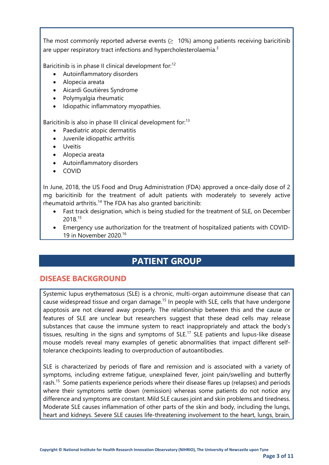The most commonly reported adverse events  $(≥ 10%)$  among patients receiving baricitinib are upper respiratory tract infections and hypercholesterolaemia.<sup>3</sup>

Baricitinib is in phase II clinical development for:<sup>12</sup>

- Autoinflammatory disorders
- Alopecia areata
- Aicardi Goutières Syndrome
- Polymyalgia rheumatic
- Idiopathic inflammatory myopathies.

Baricitinib is also in phase III clinical development for:<sup>13</sup>

- Paediatric atopic dermatitis
- Juvenile idiopathic arthritis
- Uveitis
- Alopecia areata
- Autoinflammatory disorders
- COVID

In June, 2018, the US Food and Drug Administration (FDA) approved a once-daily dose of 2 mg baricitinib for the treatment of adult patients with moderately to severely active rheumatoid arthritis.<sup>14</sup> The FDA has also granted baricitinib:

- Fast track designation, which is being studied for the treatment of SLE, on December 2018.<sup>15</sup>
- Emergency use authorization for the treatment of hospitalized patients with COVID-19 in November 2020.16

## **PATIENT GROUP**

#### **DISEASE BACKGROUND**

Systemic lupus erythematosus (SLE) is a chronic, multi-organ autoimmune disease that can cause widespread tissue and organ damage.<sup>15</sup> In people with SLE, cells that have undergone apoptosis are not cleared away properly. The relationship between this and the cause or features of SLE are unclear but researchers suggest that these dead cells may release substances that cause the immune system to react inappropriately and attack the body's tissues, resulting in the signs and symptoms of  $SLE$ .<sup>17</sup> SLE patients and lupus-like disease mouse models reveal many examples of genetic abnormalities that impact different selftolerance checkpoints leading to overproduction of autoantibodies.

SLE is characterized by periods of flare and remission and is associated with a variety of symptoms, including extreme fatigue, unexplained fever, joint pain/swelling and butterfly rash.<sup>15</sup> Some patients experience periods where their disease flares up (relapses) and periods where their symptoms settle down (remission) whereas some patients do not notice any difference and symptoms are constant. Mild SLE causes joint and skin problems and tiredness. Moderate SLE causes inflammation of other parts of the skin and body, including the lungs, heart and kidneys. Severe SLE causes life-threatening involvement to the heart, lungs, brain,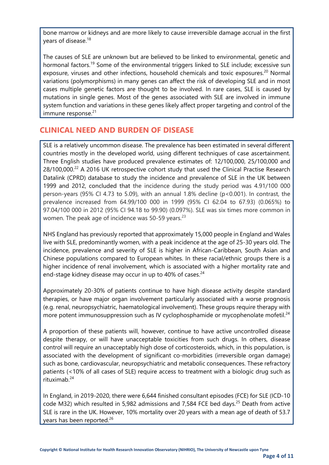bone marrow or kidneys and are more likely to cause irreversible damage accrual in the first years of disease.<sup>18</sup>

The causes of SLE are unknown but are believed to be linked to environmental, genetic and hormonal factors.<sup>19</sup> Some of the environmental triggers linked to SLE include; excessive sun exposure, viruses and other infections, household chemicals and toxic exposures.<sup>20</sup> Normal variations (polymorphisms) in many genes can affect the risk of developing SLE and in most cases multiple genetic factors are thought to be involved. In rare cases, SLE is caused by mutations in single genes. Most of the genes associated with SLE are involved in immune system function and variations in these genes likely affect proper targeting and control of the immune response. $21$ 

#### **CLINICAL NEED AND BURDEN OF DISEASE**

SLE is a relatively uncommon disease. The prevalence has been estimated in several different countries mostly in the developed world, using different techniques of case ascertainment. Three English studies have produced prevalence estimates of: 12/100,000, 25/100,000 and  $28/100,000.^{22}$  A 2016 UK retrospective cohort study that used the Clinical Practise Research Datalink (CPRD) database to study the incidence and prevalence of SLE in the UK between 1999 and 2012, concluded that the incidence during the study period was 4.91/100 000 person-years (95% CI 4.73 to 5.09), with an annual 1.8% decline (p<0.001). In contrast, the prevalence increased from 64.99/100 000 in 1999 (95% CI 62.04 to 67.93) (0.065%) to 97.04/100 000 in 2012 (95% CI 94.18 to 99.90) (0.097%). SLE was six times more common in women. The peak age of incidence was 50-59 years. $23$ 

NHS England has previously reported that approximately 15,000 people in England and Wales live with SLE, predominantly women, with a peak incidence at the age of 25-30 years old. The incidence, prevalence and severity of SLE is higher in African-Caribbean, South Asian and Chinese populations compared to European whites. In these racial/ethnic groups there is a higher incidence of renal involvement, which is associated with a higher mortality rate and end-stage kidney disease may occur in up to 40% of cases. $24$ 

Approximately 20-30% of patients continue to have high disease activity despite standard therapies, or have major organ involvement particularly associated with a worse prognosis (e.g. renal, neuropsychiatric, haematological involvement). These groups require therapy with more potent immunosuppression such as IV cyclophosphamide or mycophenolate mofetil.<sup>24</sup>

A proportion of these patients will, however, continue to have active uncontrolled disease despite therapy, or will have unacceptable toxicities from such drugs. In others, disease control will require an unacceptably high dose of corticosteroids, which, in this population, is associated with the development of significant co-morbidities (irreversible organ damage) such as bone, cardiovascular, neuropsychiatric and metabolic consequences. These refractory patients (<10% of all cases of SLE) require access to treatment with a biologic drug such as rituximab.<sup>24</sup>

In England, in 2019-2020, there were 6,644 finished consultant episodes (FCE) for SLE (ICD-10 code M32) which resulted in 5,982 admissions and 7,584 FCE bed days.<sup>25</sup> Death from active SLE is rare in the UK. However, 10% mortality over 20 years with a mean age of death of 53.7 years has been reported.<sup>26</sup>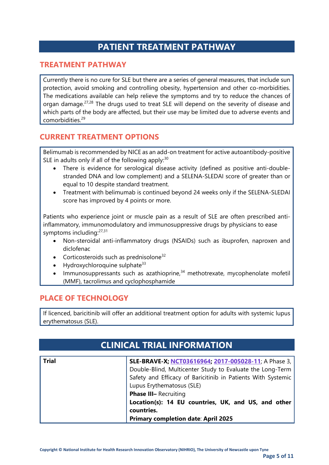## **PATIENT TREATMENT PATHWAY**

#### **TREATMENT PATHWAY**

Currently there is no cure for SLE but there are a series of general measures, that include sun protection, avoid smoking and controlling obesity, hypertension and other co-morbidities. The medications available can help relieve the symptoms and try to reduce the chances of organ damage.<sup>27,28</sup> The drugs used to treat SLE will depend on the severity of disease and which parts of the body are affected, but their use may be limited due to adverse events and comorbidities.<sup>29</sup>

#### **CURRENT TREATMENT OPTIONS**

Belimumab is recommended by NICE as an add-on treatment for active autoantibody-positive SLE in adults only if all of the following apply: $30$ 

- There is evidence for serological disease activity (defined as positive anti-doublestranded DNA and low complement) and a SELENA-SLEDAI score of greater than or equal to 10 despite standard treatment.
- Treatment with belimumab is continued beyond 24 weeks only if the SELENA-SLEDAI score has improved by 4 points or more.

Patients who experience joint or muscle pain as a result of SLE are often prescribed antiinflammatory, immunomodulatory and immunosuppressive drugs by physicians to ease symptoms including:<sup>27,31</sup>

- Non-steroidal anti-inflammatory drugs (NSAIDs) such as ibuprofen, naproxen and diclofenac
- Corticosteroids such as prednisolone $32$
- Hydroxychloroquine sulphate<sup>33</sup>
- Immunosuppressants such as azathioprine,<sup>34</sup> methotrexate, mycophenolate mofetil (MMF), tacrolimus and cyclophosphamide

#### **PLACE OF TECHNOLOGY**

If licenced, baricitinib will offer an additional treatment option for adults with systemic lupus erythematosus (SLE).

|              | <b>CLINICAL TRIAL INFORMATION</b>                                 |
|--------------|-------------------------------------------------------------------|
|              |                                                                   |
| <b>Trial</b> | SLE-BRAVE-X; NCT03616964; 2017-005028-11; A Phase 3,              |
|              | Double-Blind, Multicenter Study to Evaluate the Long-Term         |
|              | Safety and Efficacy of Baricitinib in Patients With Systemic      |
|              | Lupus Erythematosus (SLE)                                         |
|              | Phase III- Recruiting                                             |
|              | Location(s): 14 EU countries, UK, and US, and other<br>countries. |
|              | <b>Primary completion date: April 2025</b>                        |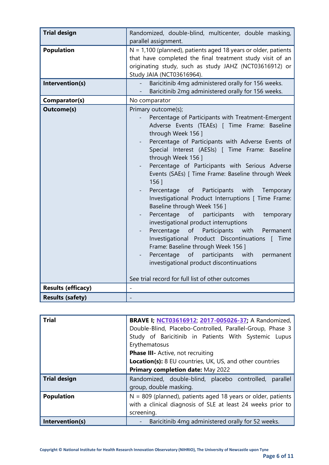| <b>Trial design</b>       | Randomized, double-blind, multicenter, double masking,<br>parallel assignment.                                                                                                                                                                                                                                                                                                                                                                                                                                                                                                                                                                                                                                                                                                                                                                                                                                                                             |
|---------------------------|------------------------------------------------------------------------------------------------------------------------------------------------------------------------------------------------------------------------------------------------------------------------------------------------------------------------------------------------------------------------------------------------------------------------------------------------------------------------------------------------------------------------------------------------------------------------------------------------------------------------------------------------------------------------------------------------------------------------------------------------------------------------------------------------------------------------------------------------------------------------------------------------------------------------------------------------------------|
| <b>Population</b>         | $N = 1,100$ (planned), patients aged 18 years or older, patients<br>that have completed the final treatment study visit of an<br>originating study, such as study JAHZ (NCT03616912) or<br>Study JAIA (NCT03616964).                                                                                                                                                                                                                                                                                                                                                                                                                                                                                                                                                                                                                                                                                                                                       |
| Intervention(s)           | Baricitinib 4mg administered orally for 156 weeks.<br>Baricitinib 2mg administered orally for 156 weeks.                                                                                                                                                                                                                                                                                                                                                                                                                                                                                                                                                                                                                                                                                                                                                                                                                                                   |
| Comparator(s)             | No comparator                                                                                                                                                                                                                                                                                                                                                                                                                                                                                                                                                                                                                                                                                                                                                                                                                                                                                                                                              |
| <b>Outcome(s)</b>         | Primary outcome(s);<br>Percentage of Participants with Treatment-Emergent<br>Adverse Events (TEAEs) [ Time Frame: Baseline<br>through Week 156 ]<br>Percentage of Participants with Adverse Events of<br>Special Interest (AESIs) [ Time Frame: Baseline<br>through Week 156 ]<br>Percentage of Participants with Serious Adverse<br>Events (SAEs) [ Time Frame: Baseline through Week<br>$156$ ]<br>Participants<br>with<br>Percentage of<br>Temporary<br>Investigational Product Interruptions [ Time Frame:<br>Baseline through Week 156 ]<br>Percentage<br>of<br>participants<br>with<br>temporary<br>investigational product interruptions<br>of<br>Participants<br>with<br>Percentage<br>Permanent<br>Investigational Product Discontinuations [ Time<br>Frame: Baseline through Week 156 ]<br>participants<br>with<br>Percentage<br>of<br>permanent<br>investigational product discontinuations<br>See trial record for full list of other outcomes |
| <b>Results (efficacy)</b> |                                                                                                                                                                                                                                                                                                                                                                                                                                                                                                                                                                                                                                                                                                                                                                                                                                                                                                                                                            |
| <b>Results (safety)</b>   |                                                                                                                                                                                                                                                                                                                                                                                                                                                                                                                                                                                                                                                                                                                                                                                                                                                                                                                                                            |

| <b>Trial</b>        | <b>BRAVE I; NCT03616912, 2017-005026-37; A Randomized,</b><br>Double-Blind, Placebo-Controlled, Parallel-Group, Phase 3       |  |
|---------------------|-------------------------------------------------------------------------------------------------------------------------------|--|
|                     | Study of Baricitinib in Patients With Systemic Lupus<br>Erythematosus                                                         |  |
|                     | <b>Phase III-</b> Active, not recruiting                                                                                      |  |
|                     | <b>Location(s):</b> 8 EU countries, UK, US, and other countries                                                               |  |
|                     | Primary completion date: May 2022                                                                                             |  |
| <b>Trial design</b> | Randomized, double-blind, placebo controlled,<br>parallel<br>group, double masking.                                           |  |
| <b>Population</b>   | $N = 809$ (planned), patients aged 18 years or older, patients<br>with a clinical diagnosis of SLE at least 24 weeks prior to |  |
|                     | screening.                                                                                                                    |  |
| Intervention(s)     | Baricitinib 4mg administered orally for 52 weeks.<br>$\qquad \qquad \blacksquare$                                             |  |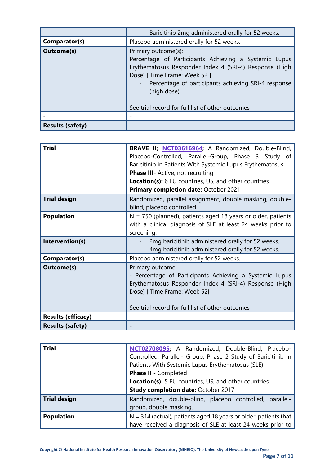|                         | Baricitinib 2mg administered orally for 52 weeks.                                                                                                                                                                                                                                                    |
|-------------------------|------------------------------------------------------------------------------------------------------------------------------------------------------------------------------------------------------------------------------------------------------------------------------------------------------|
| Comparator(s)           | Placebo administered orally for 52 weeks.                                                                                                                                                                                                                                                            |
| <b>Outcome(s)</b>       | Primary outcome(s);<br>Percentage of Participants Achieving a Systemic Lupus<br>Erythematosus Responder Index 4 (SRI-4) Response (High<br>Dose) [ Time Frame: Week 52 ]<br>- Percentage of participants achieving SRI-4 response<br>(high dose).<br>See trial record for full list of other outcomes |
|                         |                                                                                                                                                                                                                                                                                                      |
| <b>Results (safety)</b> |                                                                                                                                                                                                                                                                                                      |

| <b>Trial</b>              | <b>BRAVE II; NCT03616964; A Randomized, Double-Blind,</b><br>Placebo-Controlled, Parallel-Group, Phase 3 Study of<br>Baricitinib in Patients With Systemic Lupus Erythematosus<br>Phase III- Active, not recruiting<br><b>Location(s):</b> 6 EU countries, US, and other countries<br>Primary completion date: October 2021 |
|---------------------------|-----------------------------------------------------------------------------------------------------------------------------------------------------------------------------------------------------------------------------------------------------------------------------------------------------------------------------|
| <b>Trial design</b>       | Randomized, parallel assignment, double masking, double-<br>blind, placebo controlled.                                                                                                                                                                                                                                      |
| <b>Population</b>         | $N = 750$ (planned), patients aged 18 years or older, patients<br>with a clinical diagnosis of SLE at least 24 weeks prior to<br>screening.                                                                                                                                                                                 |
| Intervention(s)           | 2mg baricitinib administered orally for 52 weeks.<br>4mg baricitinib administered orally for 52 weeks.                                                                                                                                                                                                                      |
| Comparator(s)             | Placebo administered orally for 52 weeks.                                                                                                                                                                                                                                                                                   |
| <b>Outcome(s)</b>         | Primary outcome:<br>- Percentage of Participants Achieving a Systemic Lupus<br>Erythematosus Responder Index 4 (SRI-4) Response (High<br>Dose) [ Time Frame: Week 52]<br>See trial record for full list of other outcomes                                                                                                   |
| <b>Results (efficacy)</b> |                                                                                                                                                                                                                                                                                                                             |
| <b>Results (safety)</b>   |                                                                                                                                                                                                                                                                                                                             |

| <b>Trial</b>        | NCT02708095; A Randomized, Double-Blind, Placebo-<br>Controlled, Parallel- Group, Phase 2 Study of Baricitinib in<br>Patients With Systemic Lupus Erythematosus (SLE) |
|---------------------|-----------------------------------------------------------------------------------------------------------------------------------------------------------------------|
|                     | Phase II - Completed                                                                                                                                                  |
|                     | <b>Location(s):</b> 5 EU countries, US, and other countries                                                                                                           |
|                     | Study completion date: October 2017                                                                                                                                   |
| <b>Trial design</b> | Randomized, double-blind, placebo controlled, parallel-<br>group, double masking.                                                                                     |
| <b>Population</b>   | $N = 314$ (actual), patients aged 18 years or older, patients that                                                                                                    |
|                     | have received a diagnosis of SLE at least 24 weeks prior to                                                                                                           |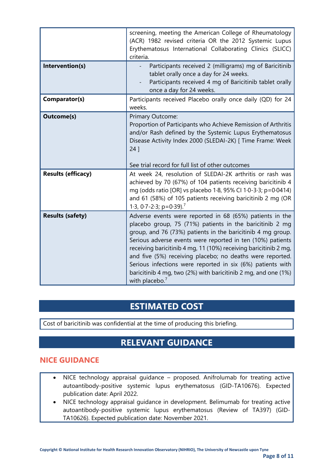| Intervention(s)           | screening, meeting the American College of Rheumatology<br>(ACR) 1982 revised criteria OR the 2012 Systemic Lupus<br>Erythematosus International Collaborating Clinics (SLICC)<br>criteria.<br>Participants received 2 (milligrams) mg of Baricitinib<br>tablet orally once a day for 24 weeks.<br>Participants received 4 mg of Baricitinib tablet orally<br>once a day for 24 weeks.                                                                                                                                                  |
|---------------------------|-----------------------------------------------------------------------------------------------------------------------------------------------------------------------------------------------------------------------------------------------------------------------------------------------------------------------------------------------------------------------------------------------------------------------------------------------------------------------------------------------------------------------------------------|
| Comparator(s)             | Participants received Placebo orally once daily (QD) for 24<br>weeks.                                                                                                                                                                                                                                                                                                                                                                                                                                                                   |
| <b>Outcome(s)</b>         | Primary Outcome:<br>Proportion of Participants who Achieve Remission of Arthritis<br>and/or Rash defined by the Systemic Lupus Erythematosus<br>Disease Activity Index 2000 (SLEDAI-2K) [ Time Frame: Week<br>$24$ ]                                                                                                                                                                                                                                                                                                                    |
| <b>Results (efficacy)</b> | See trial record for full list of other outcomes<br>At week 24, resolution of SLEDAI-2K arthritis or rash was<br>achieved by 70 (67%) of 104 patients receiving baricitinib 4<br>mg (odds ratio [OR] vs placebo 1.8, 95% CI 1.0-3.3; p=0.0414)<br>and 61 (58%) of 105 patients receiving baricitinib 2 mg (OR<br>1.3, 0.7-2.3; $p=0.39$ . <sup>7</sup>                                                                                                                                                                                  |
| <b>Results (safety)</b>   | Adverse events were reported in 68 (65%) patients in the<br>placebo group, 75 (71%) patients in the baricitinib 2 mg<br>group, and 76 (73%) patients in the baricitinib 4 mg group.<br>Serious adverse events were reported in ten (10%) patients<br>receiving baricitinib 4 mg, 11 (10%) receiving baricitinib 2 mg,<br>and five (5%) receiving placebo; no deaths were reported.<br>Serious infections were reported in six (6%) patients with<br>baricitinib 4 mg, two (2%) with baricitinib 2 mg, and one (1%)<br>with placebo. $7$ |

## **ESTIMATED COST**

Cost of baricitinib was confidential at the time of producing this briefing.

## **RELEVANT GUIDANCE**

#### **NICE GUIDANCE**

- NICE technology appraisal guidance proposed. Anifrolumab for treating active autoantibody-positive systemic lupus erythematosus (GID-TA10676). Expected publication date: April 2022.
- NICE technology appraisal guidance in development. Belimumab for treating active autoantibody-positive systemic lupus erythematosus (Review of TA397) (GID-TA10626). Expected publication date: November 2021.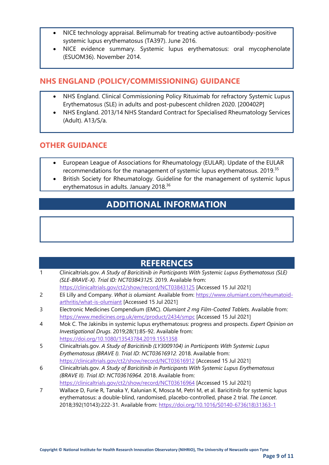- NICE technology appraisal. Belimumab for treating active autoantibody-positive systemic lupus erythematosus (TA397). June 2016.
- NICE evidence summary. Systemic lupus erythematosus: oral mycophenolate (ESUOM36). November 2014.

#### **NHS ENGLAND (POLICY/COMMISSIONING) GUIDANCE**

- NHS England. Clinical Commissioning Policy Rituximab for refractory Systemic Lupus Erythematosus (SLE) in adults and post-pubescent children 2020. [200402P]
- NHS England. 2013/14 NHS Standard Contract for Specialised Rheumatology Services (Adult). A13/S/a.

#### **OTHER GUIDANCE**

- European League of Associations for Rheumatology (EULAR). Update of the EULAR recommendations for the management of systemic lupus erythematosus. 2019.<sup>35</sup>
- British Society for Rheumatology. Guideline for the management of systemic lupus erythematosus in adults. January 2018.<sup>36</sup>

## **ADDITIONAL INFORMATION**

### **REFERENCES**

| 1 | Clinicaltrials.gov. A Study of Baricitinib in Participants With Systemic Lupus Erythematosus (SLE) |
|---|----------------------------------------------------------------------------------------------------|
|   | (SLE-BRAVE-X). Trial ID: NCT03843125. 2019. Available from:                                        |
|   | https://clinicaltrials.gov/ct2/show/record/NCT03843125 [Accessed 15 Jul 2021]                      |
| 2 | Eli Lilly and Company. What is olumiant. Available from: https://www.olumiant.com/rheumatoid-      |
|   | arthritis/what-is-olumiant [Accessed 15 Jul 2021]                                                  |
| 3 | Electronic Medicines Compendium (EMC). Olumiant 2 mg Film-Coated Tablets. Available from:          |
|   | https://www.medicines.org.uk/emc/product/2434/smpc [Accessed 15 Jul 2021]                          |
| 4 | Mok C. The Jakinibs in systemic lupus erythematosus: progress and prospects. Expert Opinion on     |
|   | Investigational Drugs. 2019;28(1):85-92. Available from:                                           |
|   | https://doi.org/10.1080/13543784.2019.1551358                                                      |
| 5 | Clinicaltrials.gov. A Study of Baricitinib (LY3009104) in Participants With Systemic Lupus         |
|   | Erythematosus (BRAVE I). Trial ID: NCT03616912. 2018. Available from:                              |
|   | https://clinicaltrials.gov/ct2/show/record/NCT03616912 [Accessed 15 Jul 2021]                      |
| 6 | Clinicaltrials.gov. A Study of Baricitinib in Participants With Systemic Lupus Erythematosus       |
|   | (BRAVE II). Trial ID: NCT03616964. 2018. Available from:                                           |
|   | https://clinicaltrials.gov/ct2/show/record/NCT03616964 [Accessed 15 Jul 2021]                      |
| 7 | Wallace D, Furie R, Tanaka Y, Kalunian K, Mosca M, Petri M, et al. Baricitinib for systemic lupus  |
|   | erythematosus: a double-blind, randomised, placebo-controlled, phase 2 trial. The Lancet.          |
|   | 2018;392(10143):222-31. Available from: https://doi.org/10.1016/S0140-6736(18)31363-1              |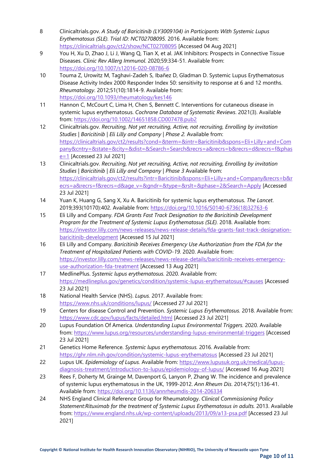- 8 Clinicaltrials.gov. *A Study of Baricitinib (LY3009104) in Participants With Systemic Lupus Erythematosus (SLE). Trial ID: NCT02708095.* 2016. Available from: <https://clinicaltrials.gov/ct2/show/NCT02708095> [Accessed 04 Aug 2021]
- 9 You H, Xu D, Zhao J, Li J, Wang Q, Tian X, et al. JAK Inhibitors: Prospects in Connective Tissue Diseases. *Clinic Rev Allerg Immunol*. 2020;59:334-51. Available from: <https://doi.org/10.1007/s12016-020-08786-6>
- 10 Touma Z, Urowitz M, Taghavi-Zadeh S, Ibañez D, Gladman D. Systemic Lupus Erythematosus Disease Activity Index 2000 Responder Index 50: sensitivity to response at 6 and 12 months. *Rheumatology*. 2012;51(10):1814-9. Available from: <https://doi.org/10.1093/rheumatology/kes146>
- 11 Hannon C, McCourt C, Lima H, Chen S, Bennett C. Interventions for cutaneous disease in systemic lupus erythematosus. *Cochrane Database of Systematic Reviews*. 2021(3). Available from:<https://doi.org/10.1002/14651858.CD007478.pub2>
- 12 Clinicaltrials.gov. *Recruiting, Not yet recruiting, Active, not recruiting, Enrolling by invitation Studies | Baricitinib | Eli Lilly and Company | Phase 2.* Available from: [https://clinicaltrials.gov/ct2/results?cond=&term=&intr=Baricitinib&spons=Eli+Lilly+and+Com](https://clinicaltrials.gov/ct2/results?cond=&term=&intr=Baricitinib&spons=Eli+Lilly+and+Company&cntry=&state=&city=&dist=&Search=Search&recrs=a&recrs=b&recrs=d&recrs=f&phase=1) [pany&cntry=&state=&city=&dist=&Search=Search&recrs=a&recrs=b&recrs=d&recrs=f&phas](https://clinicaltrials.gov/ct2/results?cond=&term=&intr=Baricitinib&spons=Eli+Lilly+and+Company&cntry=&state=&city=&dist=&Search=Search&recrs=a&recrs=b&recrs=d&recrs=f&phase=1) [e=1](https://clinicaltrials.gov/ct2/results?cond=&term=&intr=Baricitinib&spons=Eli+Lilly+and+Company&cntry=&state=&city=&dist=&Search=Search&recrs=a&recrs=b&recrs=d&recrs=f&phase=1) [Accessed 23 Jul 2021]
- 13 Clinicaltrials.gov. *Recruiting, Not yet recruiting, Active, not recruiting, Enrolling by invitation Studies | Baricitinib | Eli Lilly and Company | Phase 3* Available from: [https://clinicaltrials.gov/ct2/results?intr=Baricitinib&spons=Eli+Lilly+and+Company&recrs=b&r](https://clinicaltrials.gov/ct2/results?intr=Baricitinib&spons=Eli+Lilly+and+Company&recrs=b&recrs=a&recrs=f&recrs=d&age_v=&gndr=&type=&rslt=&phase=2&Search=Apply) [ecrs=a&recrs=f&recrs=d&age\\_v=&gndr=&type=&rslt=&phase=2&Search=Apply](https://clinicaltrials.gov/ct2/results?intr=Baricitinib&spons=Eli+Lilly+and+Company&recrs=b&recrs=a&recrs=f&recrs=d&age_v=&gndr=&type=&rslt=&phase=2&Search=Apply) [Accessed 23 Jul 2021]
- 14 Yuan K, Huang G, Sang X, Xu A. Baricitinib for systemic lupus erythematosus. *The Lancet*. 2019;393(10170):402. Available from: [https://doi.org/10.1016/S0140-6736\(18\)32763-6](https://doi.org/10.1016/S0140-6736(18)32763-6)
- 15 Eli Lilly and Company. *FDA Grants Fast Track Designation to the Baricitinib Development Program for the Treatment of Systemic Lupus Erythematosus (SLE).* 2018. Available from: [https://investor.lilly.com/news-releases/news-release-details/fda-grants-fast-track-designation](https://investor.lilly.com/news-releases/news-release-details/fda-grants-fast-track-designation-baricitinib-development)[baricitinib-development](https://investor.lilly.com/news-releases/news-release-details/fda-grants-fast-track-designation-baricitinib-development) [Accessed 15 Jul 2021]
- 16 Eli Lilly and Company. *Baricitinib Receives Emergency Use Authorization from the FDA for the Treatment of Hospitalized Patients with COVID-19.* 2020. Available from: [https://investor.lilly.com/news-releases/news-release-details/baricitinib-receives-emergency](https://investor.lilly.com/news-releases/news-release-details/baricitinib-receives-emergency-use-authorization-fda-treatment)[use-authorization-fda-treatment](https://investor.lilly.com/news-releases/news-release-details/baricitinib-receives-emergency-use-authorization-fda-treatment) [Accessed 13 Aug 2021]
- 17 MedlinePlus. *Systemic lupus erythematosus.* 2020. Available from: <https://medlineplus.gov/genetics/condition/systemic-lupus-erythematosus/#causes> [Accessed 23 Jul 2021]
- 18 National Health Service (NHS). *Lupus.* 2017. Available from: <https://www.nhs.uk/conditions/lupus/> [Accessed 27 Jul 2021]
- 19 Centers for disease Control and Prevention. *Systemic Lupus Erythematosus.* 2018. Available from: <https://www.cdc.gov/lupus/facts/detailed.html> [Accessed 23 Jul 2021]
- 20 Lupus Foundation Of America. *Understanding Lupus Environmental Triggers.* 2020. Available from:<https://www.lupus.org/resources/understanding-lupus-environmental-triggers> [Accessed 23 Jul 2021]
- 21 Genetics Home Reference. *Systemic lupus erythematosus.* 2016. Available from: <https://ghr.nlm.nih.gov/condition/systemic-lupus-erythematosus> [Accessed 23 Jul 2021]
- 22 Lupus UK. *Epidemiology of Lupus.* Available from: [https://www.lupusuk.org.uk/medical/lupus](https://www.lupusuk.org.uk/medical/lupus-diagnosis-treatment/introduction-to-lupus/epidemiology-of-lupus/)[diagnosis-treatment/introduction-to-lupus/epidemiology-of-lupus/](https://www.lupusuk.org.uk/medical/lupus-diagnosis-treatment/introduction-to-lupus/epidemiology-of-lupus/) [Accessed 16 Aug 2021]
- 23 Rees F, Doherty M, Grainge M, Davenport G, Lanyon P, Zhang W. The incidence and prevalence of systemic lupus erythematosus in the UK, 1999-2012. *Ann Rheum Dis*. 2014;75(1):136-41. Available from:<https://doi.org/10.1136/annrheumdis-2014-206334>
- 24 NHS England Clinical Reference Group for Rheumatology. *Clinical Commissioning Policy Statement:Rituximab for the treatment of Systemic Lupus Erythematosus in adults.* 2013. Available from:<https://www.england.nhs.uk/wp-content/uploads/2013/09/a13-psa.pdf> [Accessed 23 Jul 2021]